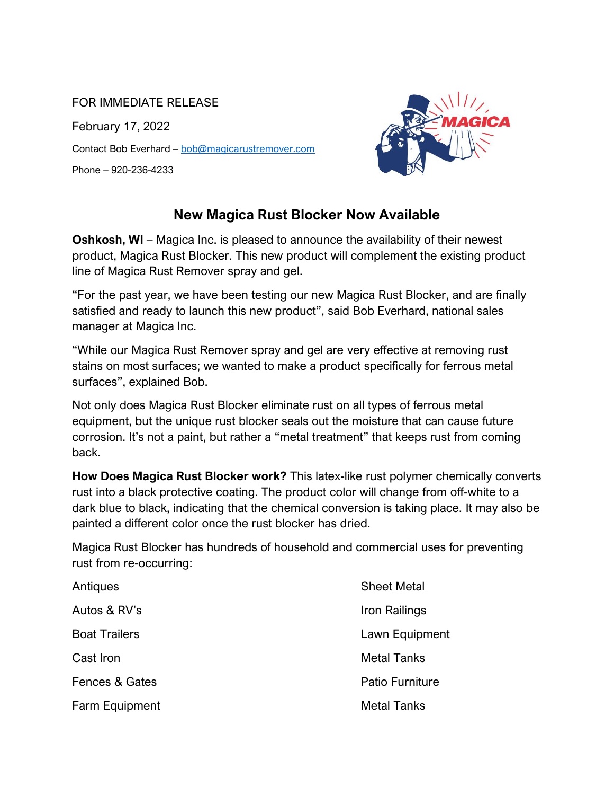## FOR IMMEDIATE RELEASE

February 17, 2022 Contact Bob Everhard – [bob@magicarustremover.com](mailto:bob@magicarustremover.com)  Phone – 920-236-4233



## **New Magica Rust Blocker Now Available**

**Oshkosh, WI** – Magica Inc. is pleased to announce the availability of their newest product, Magica Rust Blocker. This new product will complement the existing product line of Magica Rust Remover spray and gel.

"For the past year, we have been testing our new Magica Rust Blocker, and are finally satisfied and ready to launch this new product", said Bob Everhard, national sales manager at Magica Inc.

"While our Magica Rust Remover spray and gel are very effective at removing rust stains on most surfaces; we wanted to make a product specifically for ferrous metal surfaces", explained Bob.

Not only does Magica Rust Blocker eliminate rust on all types of ferrous metal equipment, but the unique rust blocker seals out the moisture that can cause future corrosion. It's not a paint, but rather a "metal treatment" that keeps rust from coming back.

**How Does Magica Rust Blocker work?** This latex-like rust polymer chemically converts rust into a black protective coating. The product color will change from off-white to a dark blue to black, indicating that the chemical conversion is taking place. It may also be painted a different color once the rust blocker has dried.

Magica Rust Blocker has hundreds of household and commercial uses for preventing rust from re-occurring:

| Antiques             | <b>Sheet Metal</b>     |
|----------------------|------------------------|
| Autos & RV's         | Iron Railings          |
| <b>Boat Trailers</b> | Lawn Equipment         |
| Cast Iron            | <b>Metal Tanks</b>     |
| Fences & Gates       | <b>Patio Furniture</b> |
| Farm Equipment       | <b>Metal Tanks</b>     |